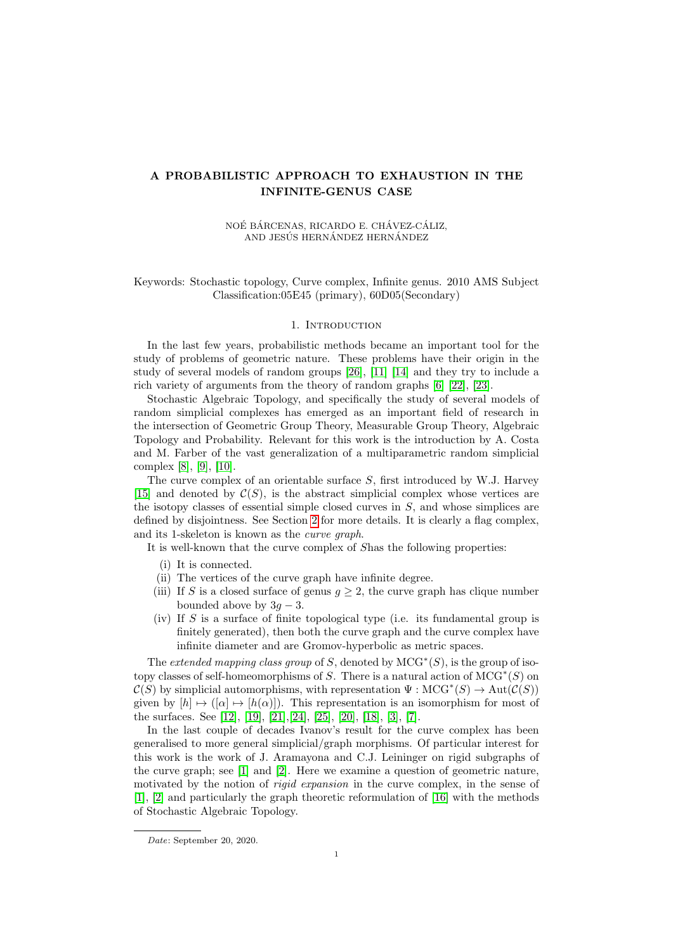# A PROBABILISTIC APPROACH TO EXHAUSTION IN THE INFINITE-GENUS CASE

#### NOÉ BÁRCENAS, RICARDO E. CHÁVEZ-CÁLIZ, AND JESÚS HERNÁNDEZ HERNÁNDEZ

# Keywords: Stochastic topology, Curve complex, Infinite genus. 2010 AMS Subject Classification:05E45 (primary), 60D05(Secondary)

#### 1. INTRODUCTION

In the last few years, probabilistic methods became an important tool for the study of problems of geometric nature. These problems have their origin in the study of several models of random groups [\[26\]](#page-11-0), [\[11\]](#page-11-1) [\[14\]](#page-11-2) and they try to include a rich variety of arguments from the theory of random graphs [\[6\]](#page-10-0) [\[22\]](#page-11-3), [\[23\]](#page-11-4).

Stochastic Algebraic Topology, and specifically the study of several models of random simplicial complexes has emerged as an important field of research in the intersection of Geometric Group Theory, Measurable Group Theory, Algebraic Topology and Probability. Relevant for this work is the introduction by A. Costa and M. Farber of the vast generalization of a multiparametric random simplicial complex [\[8\]](#page-10-1), [\[9\]](#page-11-5), [\[10\]](#page-11-6).

The curve complex of an orientable surface S, first introduced by W.J. Harvey [\[15\]](#page-11-7) and denoted by  $\mathcal{C}(S)$ , is the abstract simplicial complex whose vertices are the isotopy classes of essential simple closed curves in  $S$ , and whose simplices are defined by disjointness. See Section [2](#page-2-0) for more details. It is clearly a flag complex, and its 1-skeleton is known as the curve graph.

It is well-known that the curve complex of Shas the following properties:

- (i) It is connected.
- (ii) The vertices of the curve graph have infinite degree.
- (iii) If S is a closed surface of genus  $g \geq 2$ , the curve graph has clique number bounded above by  $3q - 3$ .
- (iv) If  $S$  is a surface of finite topological type (i.e. its fundamental group is finitely generated), then both the curve graph and the curve complex have infinite diameter and are Gromov-hyperbolic as metric spaces.

The extended mapping class group of S, denoted by  $MCG^*(S)$ , is the group of isotopy classes of self-homeomorphisms of S. There is a natural action of  $MCG^*(S)$  on  $\mathcal{C}(S)$  by simplicial automorphisms, with representation  $\Psi: \text{MCG}^*(S) \to \text{Aut}(\mathcal{C}(S))$ given by  $[h] \mapsto ([\alpha] \mapsto [h(\alpha)]$ . This representation is an isomorphism for most of the surfaces. See [\[12\]](#page-11-8), [\[19\]](#page-11-9), [\[21\]](#page-11-10),[\[24\]](#page-11-11), [\[25\]](#page-11-12), [\[20\]](#page-11-13), [\[18\]](#page-11-14), [\[3\]](#page-10-2), [\[7\]](#page-10-3).

In the last couple of decades Ivanov's result for the curve complex has been generalised to more general simplicial/graph morphisms. Of particular interest for this work is the work of J. Aramayona and C.J. Leininger on rigid subgraphs of the curve graph; see [\[1\]](#page-10-4) and [\[2\]](#page-10-5). Here we examine a question of geometric nature, motivated by the notion of *rigid expansion* in the curve complex, in the sense of [\[1\]](#page-10-4), [\[2\]](#page-10-5) and particularly the graph theoretic reformulation of [\[16\]](#page-11-15) with the methods of Stochastic Algebraic Topology.

Date: September 20, 2020.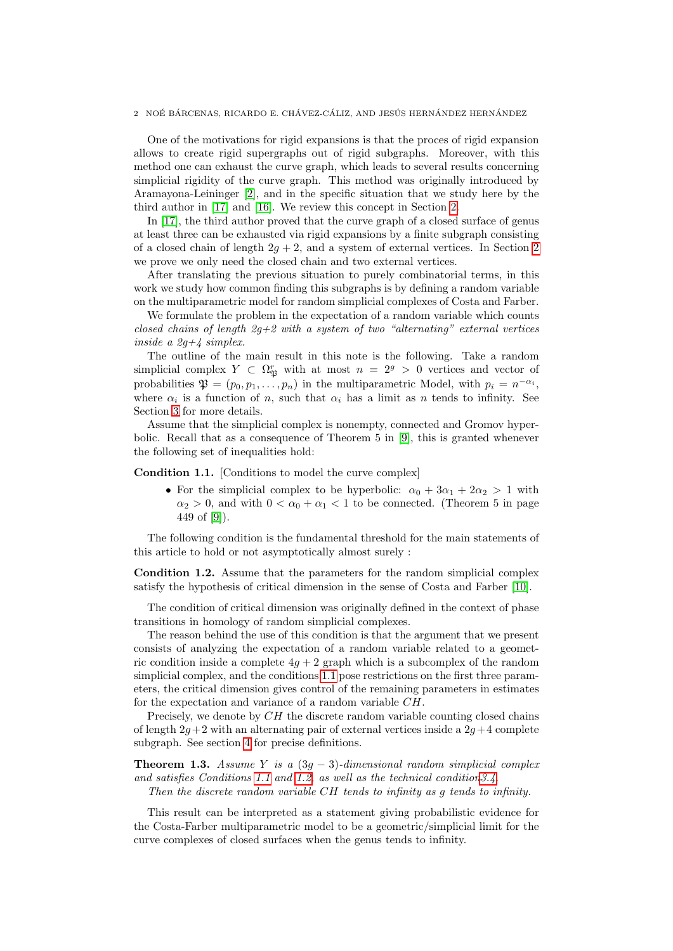One of the motivations for rigid expansions is that the proces of rigid expansion allows to create rigid supergraphs out of rigid subgraphs. Moreover, with this method one can exhaust the curve graph, which leads to several results concerning simplicial rigidity of the curve graph. This method was originally introduced by Aramayona-Leininger [\[2\]](#page-10-5), and in the specific situation that we study here by the third author in [\[17\]](#page-11-16) and [\[16\]](#page-11-15). We review this concept in Section [2.](#page-2-0)

In [\[17\]](#page-11-16), the third author proved that the curve graph of a closed surface of genus at least three can be exhausted via rigid expansions by a finite subgraph consisting of a closed chain of length  $2g + 2$  $2g + 2$ , and a system of external vertices. In Section 2 we prove we only need the closed chain and two external vertices.

After translating the previous situation to purely combinatorial terms, in this work we study how common finding this subgraphs is by defining a random variable on the multiparametric model for random simplicial complexes of Costa and Farber.

We formulate the problem in the expectation of a random variable which counts closed chains of length  $2g+2$  with a system of two "alternating" external vertices inside a  $2q+4$  simplex.

The outline of the main result in this note is the following. Take a random simplicial complex  $Y \subset \Omega_{\mathfrak{P}}^r$  with at most  $n = 2^g > 0$  vertices and vector of probabilities  $\mathfrak{P} = (p_0, p_1, \ldots, p_n)$  in the multiparametric Model, with  $p_i = n^{-\alpha_i}$ , where  $\alpha_i$  is a function of n, such that  $\alpha_i$  has a limit as n tends to infinity. See Section [3](#page-6-0) for more details.

Assume that the simplicial complex is nonempty, connected and Gromov hyperbolic. Recall that as a consequence of Theorem 5 in [\[9\]](#page-11-5), this is granted whenever the following set of inequalities hold:

<span id="page-1-0"></span>Condition 1.1. [Conditions to model the curve complex]

• For the simplicial complex to be hyperbolic:  $\alpha_0 + 3\alpha_1 + 2\alpha_2 > 1$  with  $\alpha_2 > 0$ , and with  $0 < \alpha_0 + \alpha_1 < 1$  to be connected. (Theorem 5 in page 449 of [\[9\]](#page-11-5)).

The following condition is the fundamental threshold for the main statements of this article to hold or not asymptotically almost surely :

<span id="page-1-1"></span>Condition 1.2. Assume that the parameters for the random simplicial complex satisfy the hypothesis of critical dimension in the sense of Costa and Farber [\[10\]](#page-11-6).

The condition of critical dimension was originally defined in the context of phase transitions in homology of random simplicial complexes.

The reason behind the use of this condition is that the argument that we present consists of analyzing the expectation of a random variable related to a geometric condition inside a complete  $4q + 2$  graph which is a subcomplex of the random simplicial complex, and the conditions [1.1](#page-1-0) pose restrictions on the first three parameters, the critical dimension gives control of the remaining parameters in estimates for the expectation and variance of a random variable CH.

Precisely, we denote by  $CH$  the discrete random variable counting closed chains of length  $2g+2$  with an alternating pair of external vertices inside a  $2g+4$  complete subgraph. See section [4](#page-7-0) for precise definitions.

<span id="page-1-2"></span>**Theorem 1.3.** Assume Y is a  $(3g - 3)$ -dimensional random simplicial complex and satisfies Conditions [1.1](#page-1-0) and [1.2,](#page-1-1) as well as the technical conditio[n3.4.](#page-7-1)

Then the discrete random variable CH tends to infinity as g tends to infinity.

This result can be interpreted as a statement giving probabilistic evidence for the Costa-Farber multiparametric model to be a geometric/simplicial limit for the curve complexes of closed surfaces when the genus tends to infinity.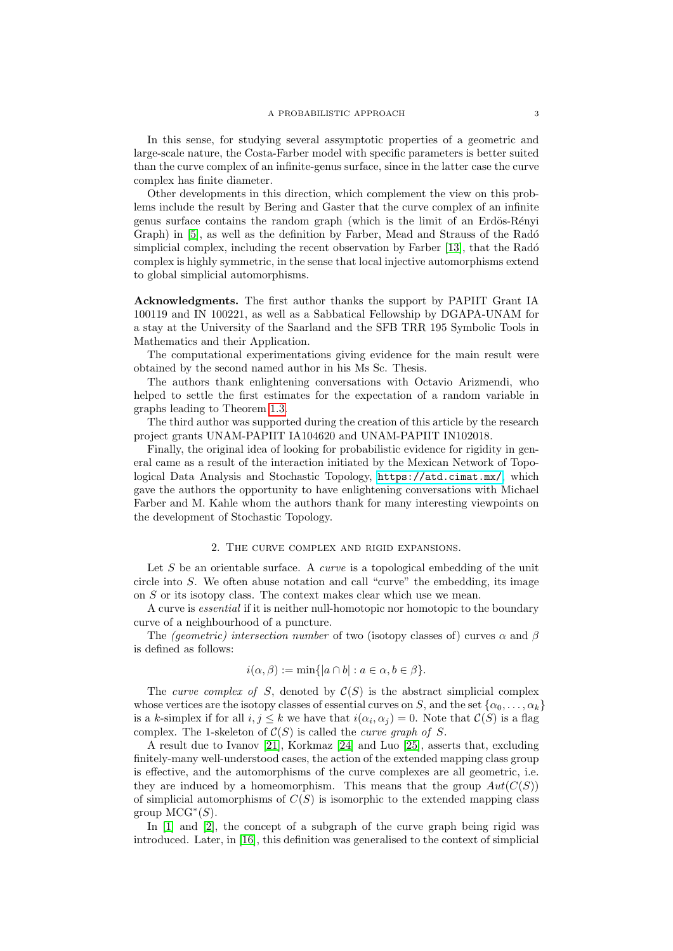In this sense, for studying several assymptotic properties of a geometric and large-scale nature, the Costa-Farber model with specific parameters is better suited than the curve complex of an infinite-genus surface, since in the latter case the curve complex has finite diameter.

Other developments in this direction, which complement the view on this problems include the result by Bering and Gaster that the curve complex of an infinite genus surface contains the random graph (which is the limit of an Erdös-Rényi Graph) in [\[5\]](#page-10-6), as well as the definition by Farber, Mead and Strauss of the Radó simplicial complex, including the recent observation by Farber [\[13\]](#page-11-17), that the Radó complex is highly symmetric, in the sense that local injective automorphisms extend to global simplicial automorphisms.

Acknowledgments. The first author thanks the support by PAPIIT Grant IA 100119 and IN 100221, as well as a Sabbatical Fellowship by DGAPA-UNAM for a stay at the University of the Saarland and the SFB TRR 195 Symbolic Tools in Mathematics and their Application.

The computational experimentations giving evidence for the main result were obtained by the second named author in his Ms Sc. Thesis.

The authors thank enlightening conversations with Octavio Arizmendi, who helped to settle the first estimates for the expectation of a random variable in graphs leading to Theorem [1.3.](#page-1-2)

The third author was supported during the creation of this article by the research project grants UNAM-PAPIIT IA104620 and UNAM-PAPIIT IN102018.

Finally, the original idea of looking for probabilistic evidence for rigidity in general came as a result of the interaction initiated by the Mexican Network of Topological Data Analysis and Stochastic Topology, <https://atd.cimat.mx/>, which gave the authors the opportunity to have enlightening conversations with Michael Farber and M. Kahle whom the authors thank for many interesting viewpoints on the development of Stochastic Topology.

#### 2. The curve complex and rigid expansions.

<span id="page-2-0"></span>Let  $S$  be an orientable surface. A *curve* is a topological embedding of the unit circle into  $S$ . We often abuse notation and call "curve" the embedding, its image on S or its isotopy class. The context makes clear which use we mean.

A curve is essential if it is neither null-homotopic nor homotopic to the boundary curve of a neighbourhood of a puncture.

The (geometric) intersection number of two (isotopy classes of) curves  $\alpha$  and  $\beta$ is defined as follows:

$$
i(\alpha, \beta) := \min\{|a \cap b| : a \in \alpha, b \in \beta\}.
$$

The curve complex of S, denoted by  $\mathcal{C}(S)$  is the abstract simplicial complex whose vertices are the isotopy classes of essential curves on S, and the set  $\{\alpha_0, \ldots, \alpha_k\}$ is a k-simplex if for all  $i, j \leq k$  we have that  $i(\alpha_i, \alpha_j) = 0$ . Note that  $\mathcal{C}(S)$  is a flag complex. The 1-skeleton of  $C(S)$  is called the *curve graph of S*.

A result due to Ivanov [\[21\]](#page-11-10), Korkmaz [\[24\]](#page-11-11) and Luo [\[25\]](#page-11-12), asserts that, excluding finitely-many well-understood cases, the action of the extended mapping class group is effective, and the automorphisms of the curve complexes are all geometric, i.e. they are induced by a homeomorphism. This means that the group  $Aut(C(S))$ of simplicial automorphisms of  $C(S)$  is isomorphic to the extended mapping class group  $MCG^*(S)$ .

In [\[1\]](#page-10-4) and [\[2\]](#page-10-5), the concept of a subgraph of the curve graph being rigid was introduced. Later, in [\[16\]](#page-11-15), this definition was generalised to the context of simplicial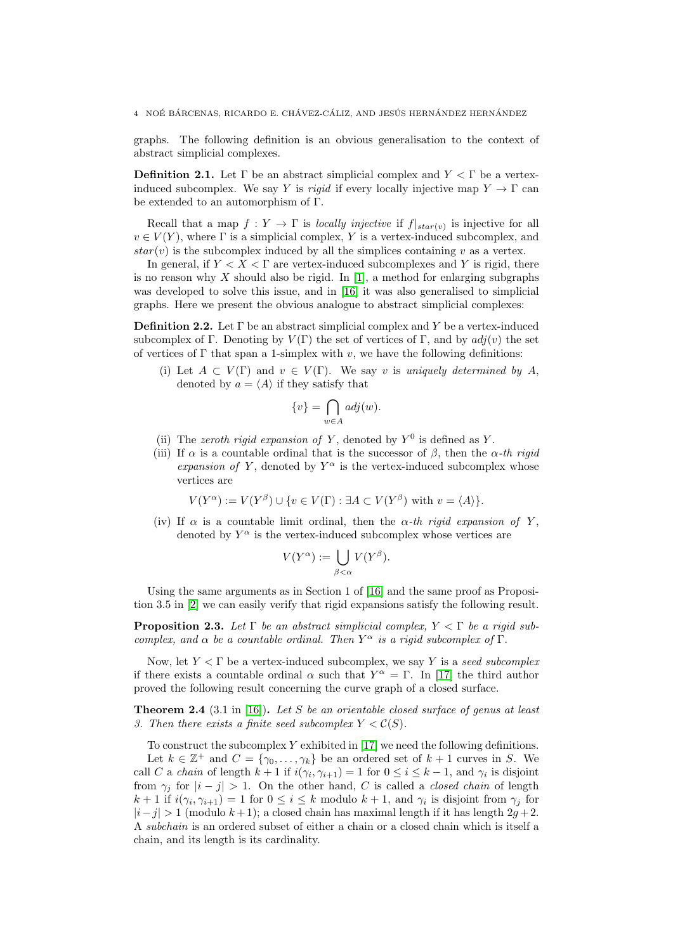graphs. The following definition is an obvious generalisation to the context of abstract simplicial complexes.

**Definition 2.1.** Let  $\Gamma$  be an abstract simplicial complex and  $Y \leq \Gamma$  be a vertexinduced subcomplex. We say Y is rigid if every locally injective map  $Y \to \Gamma$  can be extended to an automorphism of Γ.

Recall that a map  $f: Y \to \Gamma$  is locally injective if  $f|_{star(v)}$  is injective for all  $v \in V(Y)$ , where  $\Gamma$  is a simplicial complex, Y is a vertex-induced subcomplex, and  $star(v)$  is the subcomplex induced by all the simplices containing v as a vertex.

In general, if  $Y < X < \Gamma$  are vertex-induced subcomplexes and Y is rigid, there is no reason why  $X$  should also be rigid. In [\[1\]](#page-10-4), a method for enlarging subgraphs was developed to solve this issue, and in [\[16\]](#page-11-15) it was also generalised to simplicial graphs. Here we present the obvious analogue to abstract simplicial complexes:

**Definition 2.2.** Let  $\Gamma$  be an abstract simplicial complex and Y be a vertex-induced subcomplex of Γ. Denoting by  $V(\Gamma)$  the set of vertices of Γ, and by  $adj(v)$  the set of vertices of  $\Gamma$  that span a 1-simplex with v, we have the following definitions:

(i) Let  $A \subset V(\Gamma)$  and  $v \in V(\Gamma)$ . We say v is uniquely determined by A, denoted by  $a = \langle A \rangle$  if they satisfy that

$$
\{v\} = \bigcap_{w \in A} adj(w).
$$

- (ii) The zeroth rigid expansion of Y, denoted by  $Y^0$  is defined as Y.
- (iii) If  $\alpha$  is a countable ordinal that is the successor of  $\beta$ , then the  $\alpha$ -th rigid expansion of Y, denoted by  $Y^{\alpha}$  is the vertex-induced subcomplex whose vertices are

$$
V(Y^{\alpha}) := V(Y^{\beta}) \cup \{ v \in V(\Gamma) : \exists A \subset V(Y^{\beta}) \text{ with } v = \langle A \rangle \}.
$$

(iv) If  $\alpha$  is a countable limit ordinal, then the  $\alpha$ -th rigid expansion of Y, denoted by  $Y^{\alpha}$  is the vertex-induced subcomplex whose vertices are

$$
V(Y^{\alpha}) := \bigcup_{\beta < \alpha} V(Y^{\beta}).
$$

Using the same arguments as in Section 1 of [\[16\]](#page-11-15) and the same proof as Proposition 3.5 in [\[2\]](#page-10-5) we can easily verify that rigid expansions satisfy the following result.

**Proposition 2.3.** Let  $\Gamma$  be an abstract simplicial complex,  $Y \subset \Gamma$  be a rigid subcomplex, and  $\alpha$  be a countable ordinal. Then  $Y^{\alpha}$  is a rigid subcomplex of  $\Gamma$ .

Now, let  $Y \leq \Gamma$  be a vertex-induced subcomplex, we say Y is a seed subcomplex if there exists a countable ordinal  $\alpha$  such that  $Y^{\alpha} = \Gamma$ . In [\[17\]](#page-11-16) the third author proved the following result concerning the curve graph of a closed surface.

<span id="page-3-0"></span>**Theorem 2.4** (3.1 in [\[16\]](#page-11-15)). Let S be an orientable closed surface of genus at least 3. Then there exists a finite seed subcomplex  $Y \lt C(S)$ .

To construct the subcomplex  $Y$  exhibited in [\[17\]](#page-11-16) we need the following definitions.

Let  $k \in \mathbb{Z}^+$  and  $C = \{\gamma_0, \ldots, \gamma_k\}$  be an ordered set of  $k+1$  curves in S. We call C a chain of length  $k+1$  if  $i(\gamma_i, \gamma_{i+1}) = 1$  for  $0 \le i \le k-1$ , and  $\gamma_i$  is disjoint from  $\gamma_i$  for  $|i - j| > 1$ . On the other hand, C is called a *closed chain* of length  $k+1$  if  $i(\gamma_i, \gamma_{i+1}) = 1$  for  $0 \leq i \leq k$  modulo  $k+1$ , and  $\gamma_i$  is disjoint from  $\gamma_j$  for  $|i-j| > 1$  (modulo  $k+1$ ); a closed chain has maximal length if it has length  $2g+2$ . A subchain is an ordered subset of either a chain or a closed chain which is itself a chain, and its length is its cardinality.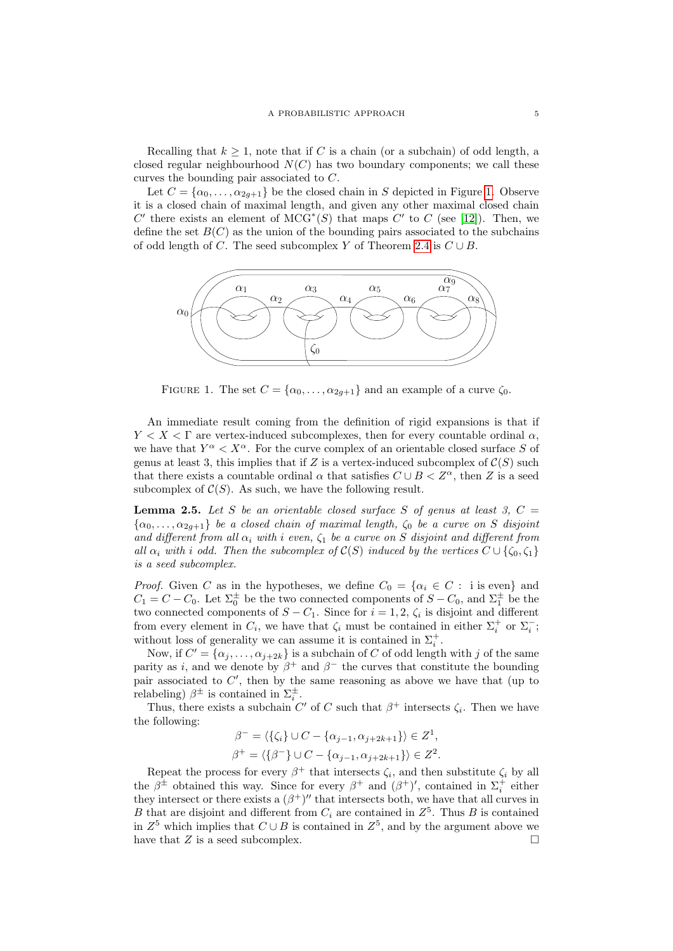Recalling that  $k \geq 1$ , note that if C is a chain (or a subchain) of odd length, a closed regular neighbourhood  $N(C)$  has two boundary components; we call these curves the bounding pair associated to C.

Let  $C = {\alpha_0, \ldots, \alpha_{2g+1}}$  be the closed chain in S depicted in Figure [1.](#page-4-0) Observe it is a closed chain of maximal length, and given any other maximal closed chain C' there exists an element of  $MCG^*(S)$  that maps C' to C (see [\[12\]](#page-11-8)). Then, we define the set  $B(C)$  as the union of the bounding pairs associated to the subchains of odd length of C. The seed subcomplex Y of Theorem [2.4](#page-3-0) is  $C \cup B$ .



<span id="page-4-0"></span>FIGURE 1. The set  $C = {\alpha_0, \ldots, \alpha_{2q+1}}$  and an example of a curve  $\zeta_0$ .

An immediate result coming from the definition of rigid expansions is that if  $Y < X < \Gamma$  are vertex-induced subcomplexes, then for every countable ordinal  $\alpha$ , we have that  $Y^{\alpha} < X^{\alpha}$ . For the curve complex of an orientable closed surface S of genus at least 3, this implies that if Z is a vertex-induced subcomplex of  $\mathcal{C}(S)$  such that there exists a countable ordinal  $\alpha$  that satisfies  $C \cup B < Z^{\alpha}$ , then Z is a seed subcomplex of  $C(S)$ . As such, we have the following result.

<span id="page-4-1"></span>**Lemma 2.5.** Let S be an orientable closed surface S of genus at least 3,  $C =$  $\{\alpha_0, \ldots, \alpha_{2g+1}\}\$ be a closed chain of maximal length,  $\zeta_0$  be a curve on S disjoint and different from all  $\alpha_i$  with i even,  $\zeta_1$  be a curve on S disjoint and different from all  $\alpha_i$  with i odd. Then the subcomplex of  $\mathcal{C}(S)$  induced by the vertices  $C \cup \{\zeta_0, \zeta_1\}$ is a seed subcomplex.

*Proof.* Given C as in the hypotheses, we define  $C_0 = {\alpha_i \in C : i \text{ is even}}$  and  $C_1 = C - C_0$ . Let  $\Sigma_0^{\pm}$  be the two connected components of  $S - C_0$ , and  $\Sigma_1^{\pm}$  be the two connected components of  $S - C_1$ . Since for  $i = 1, 2, \zeta_i$  is disjoint and different from every element in  $C_i$ , we have that  $\zeta_i$  must be contained in either  $\Sigma_i^+$  or  $\Sigma_i^-$ ; without loss of generality we can assume it is contained in  $\Sigma_i^+$ .

Now, if  $C' = {\alpha_j, \ldots, \alpha_{j+2k}}$  is a subchain of C of odd length with j of the same parity as i, and we denote by  $\beta^+$  and  $\beta^-$  the curves that constitute the bounding pair associated to  $C'$ , then by the same reasoning as above we have that (up to relabeling)  $\beta^{\pm}$  is contained in  $\Sigma_i^{\pm}$ .

Thus, there exists a subchain  $C'$  of  $C$  such that  $\beta^+$  intersects  $\zeta_i$ . Then we have the following:

$$
\beta^- = \langle \{\zeta_i\} \cup C - \{\alpha_{j-1}, \alpha_{j+2k+1}\} \rangle \in Z^1,
$$
  

$$
\beta^+ = \langle \{\beta^-\} \cup C - \{\alpha_{j-1}, \alpha_{j+2k+1}\} \rangle \in Z^2.
$$

Repeat the process for every  $\beta^+$  that intersects  $\zeta_i$ , and then substitute  $\zeta_i$  by all the  $\beta^{\pm}$  obtained this way. Since for every  $\beta^+$  and  $(\beta^+)'$ , contained in  $\Sigma_i^+$  either they intersect or there exists a  $(\beta^+)$ " that intersects both, we have that all curves in B that are disjoint and different from  $C_i$  are contained in  $Z^5$ . Thus B is contained in  $Z^5$  which implies that  $C \cup B$  is contained in  $Z^5$ , and by the argument above we have that  $Z$  is a seed subcomplex.  $\square$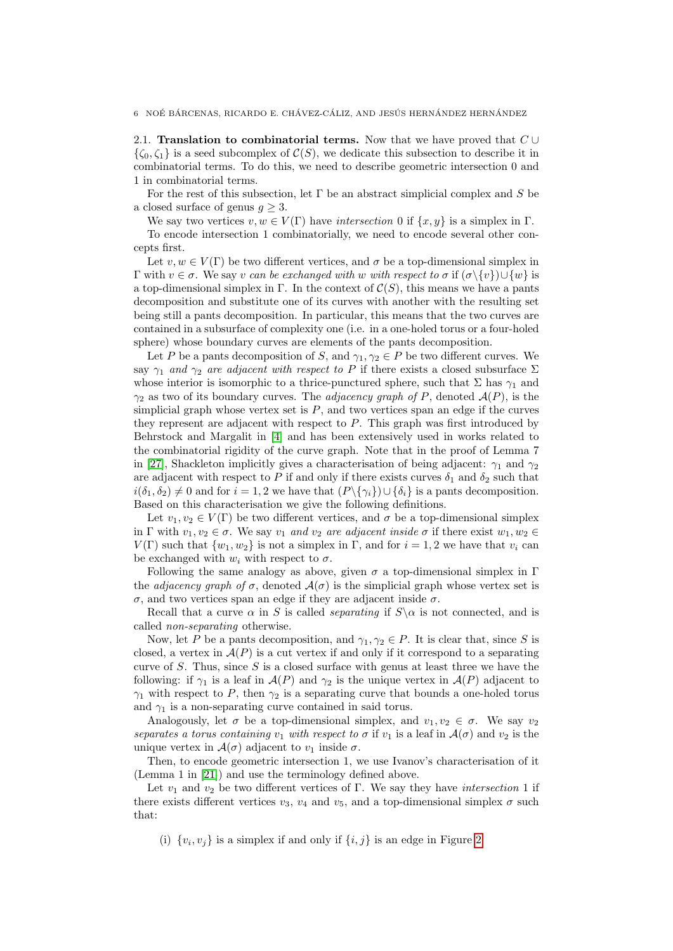<span id="page-5-0"></span>2.1. Translation to combinatorial terms. Now that we have proved that  $C \cup$  $\{\zeta_0,\zeta_1\}$  is a seed subcomplex of  $\mathcal{C}(S)$ , we dedicate this subsection to describe it in combinatorial terms. To do this, we need to describe geometric intersection 0 and 1 in combinatorial terms.

For the rest of this subsection, let  $\Gamma$  be an abstract simplicial complex and S be a closed surface of genus  $q \geq 3$ .

We say two vertices  $v, w \in V(\Gamma)$  have intersection 0 if  $\{x, y\}$  is a simplex in  $\Gamma$ .

To encode intersection 1 combinatorially, we need to encode several other concepts first.

Let  $v, w \in V(\Gamma)$  be two different vertices, and  $\sigma$  be a top-dimensional simplex in Γ with  $v \in \sigma$ . We say v can be exchanged with w with respect to  $\sigma$  if  $(\sigma \setminus \{v\}) \cup \{w\}$  is a top-dimensional simplex in Γ. In the context of  $C(S)$ , this means we have a pants decomposition and substitute one of its curves with another with the resulting set being still a pants decomposition. In particular, this means that the two curves are contained in a subsurface of complexity one (i.e. in a one-holed torus or a four-holed sphere) whose boundary curves are elements of the pants decomposition.

Let P be a pants decomposition of S, and  $\gamma_1, \gamma_2 \in P$  be two different curves. We say  $\gamma_1$  and  $\gamma_2$  are adjacent with respect to P if there exists a closed subsurface  $\Sigma$ whose interior is isomorphic to a thrice-punctured sphere, such that  $\Sigma$  has  $\gamma_1$  and  $\gamma_2$  as two of its boundary curves. The *adjacency graph of P*, denoted  $\mathcal{A}(P)$ , is the simplicial graph whose vertex set is  $P$ , and two vertices span an edge if the curves they represent are adjacent with respect to  $P$ . This graph was first introduced by Behrstock and Margalit in [\[4\]](#page-10-7) and has been extensively used in works related to the combinatorial rigidity of the curve graph. Note that in the proof of Lemma 7 in [\[27\]](#page-11-18), Shackleton implicitly gives a characterisation of being adjacent:  $\gamma_1$  and  $\gamma_2$ are adjacent with respect to P if and only if there exists curves  $\delta_1$  and  $\delta_2$  such that  $i(\delta_1, \delta_2) \neq 0$  and for  $i = 1, 2$  we have that  $(P\{\gamma_i\})\cup \{\delta_i\}$  is a pants decomposition. Based on this characterisation we give the following definitions.

Let  $v_1, v_2 \in V(\Gamma)$  be two different vertices, and  $\sigma$  be a top-dimensional simplex in Γ with  $v_1, v_2 \in \sigma$ . We say  $v_1$  and  $v_2$  are adjacent inside  $\sigma$  if there exist  $w_1, w_2 \in \sigma$ .  $V(\Gamma)$  such that  $\{w_1, w_2\}$  is not a simplex in  $\Gamma$ , and for  $i = 1, 2$  we have that  $v_i$  can be exchanged with  $w_i$  with respect to  $\sigma$ .

Following the same analogy as above, given  $\sigma$  a top-dimensional simplex in  $\Gamma$ the *adjacency graph of*  $\sigma$ , denoted  $\mathcal{A}(\sigma)$  is the simplicial graph whose vertex set is σ, and two vertices span an edge if they are adjacent inside σ.

Recall that a curve  $\alpha$  in S is called *separating* if  $S \setminus \alpha$  is not connected, and is called non-separating otherwise.

Now, let P be a pants decomposition, and  $\gamma_1, \gamma_2 \in P$ . It is clear that, since S is closed, a vertex in  $A(P)$  is a cut vertex if and only if it correspond to a separating curve of S. Thus, since S is a closed surface with genus at least three we have the following: if  $\gamma_1$  is a leaf in  $\mathcal{A}(P)$  and  $\gamma_2$  is the unique vertex in  $\mathcal{A}(P)$  adjacent to  $\gamma_1$  with respect to P, then  $\gamma_2$  is a separating curve that bounds a one-holed torus and  $\gamma_1$  is a non-separating curve contained in said torus.

Analogously, let  $\sigma$  be a top-dimensional simplex, and  $v_1, v_2 \in \sigma$ . We say  $v_2$ separates a torus containing  $v_1$  with respect to  $\sigma$  if  $v_1$  is a leaf in  $\mathcal{A}(\sigma)$  and  $v_2$  is the unique vertex in  $\mathcal{A}(\sigma)$  adjacent to  $v_1$  inside  $\sigma$ .

Then, to encode geometric intersection 1, we use Ivanov's characterisation of it (Lemma 1 in [\[21\]](#page-11-10)) and use the terminology defined above.

Let  $v_1$  and  $v_2$  be two different vertices of Γ. We say they have *intersection* 1 if there exists different vertices  $v_3$ ,  $v_4$  and  $v_5$ , and a top-dimensional simplex  $\sigma$  such that:

(i)  $\{v_i, v_j\}$  is a simplex if and only if  $\{i, j\}$  is an edge in Figure [2.](#page-6-1)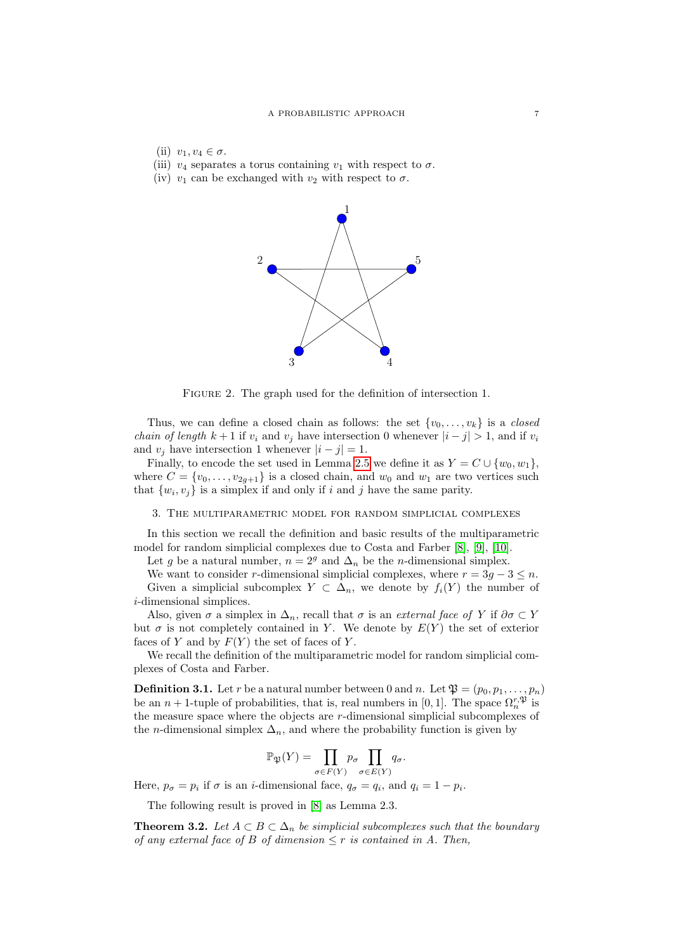- (ii)  $v_1, v_4 \in \sigma$ .
- (iii)  $v_4$  separates a torus containing  $v_1$  with respect to  $\sigma$ .
- (iv)  $v_1$  can be exchanged with  $v_2$  with respect to  $\sigma$ .



<span id="page-6-1"></span>FIGURE 2. The graph used for the definition of intersection 1.

Thus, we can define a closed chain as follows: the set  $\{v_0, \ldots, v_k\}$  is a *closed chain of length*  $k + 1$  if  $v_i$  and  $v_j$  have intersection 0 whenever  $|i - j| > 1$ , and if  $v_i$ and  $v_j$  have intersection 1 whenever  $|i - j| = 1$ .

Finally, to encode the set used in Lemma [2.5](#page-4-1) we define it as  $Y = C \cup \{w_0, w_1\}$ , where  $C = \{v_0, \ldots, v_{2g+1}\}\$ is a closed chain, and  $w_0$  and  $w_1$  are two vertices such that  $\{w_i, v_j\}$  is a simplex if and only if i and j have the same parity.

### <span id="page-6-0"></span>3. The multiparametric model for random simplicial complexes

In this section we recall the definition and basic results of the multiparametric model for random simplicial complexes due to Costa and Farber [\[8\]](#page-10-1), [\[9\]](#page-11-5), [\[10\]](#page-11-6).

Let g be a natural number,  $n = 2<sup>g</sup>$  and  $\Delta_n$  be the *n*-dimensional simplex.

We want to consider r-dimensional simplicial complexes, where  $r = 3g - 3 \leq n$ . Given a simplicial subcomplex  $Y \subset \Delta_n$ , we denote by  $f_i(Y)$  the number of i-dimensional simplices.

Also, given  $\sigma$  a simplex in  $\Delta_n$ , recall that  $\sigma$  is an *external face of Y* if  $\partial \sigma \subset Y$ but  $\sigma$  is not completely contained in Y. We denote by  $E(Y)$  the set of exterior faces of Y and by  $F(Y)$  the set of faces of Y.

We recall the definition of the multiparametric model for random simplicial complexes of Costa and Farber.

**Definition 3.1.** Let r be a natural number between 0 and n. Let  $\mathfrak{P} = (p_0, p_1, \ldots, p_n)$ be an  $n+1$ -tuple of probabilities, that is, real numbers in [0, 1]. The space  $\Omega_n^{r,\mathfrak{P}}$  is the measure space where the objects are r-dimensional simplicial subcomplexes of the *n*-dimensional simplex  $\Delta_n$ , and where the probability function is given by

$$
\mathbb{P}_{\mathfrak{P}}(Y) = \prod_{\sigma \in F(Y)} p_{\sigma} \prod_{\sigma \in E(Y)} q_{\sigma}.
$$

Here,  $p_{\sigma} = p_i$  if  $\sigma$  is an *i*-dimensional face,  $q_{\sigma} = q_i$ , and  $q_i = 1 - p_i$ .

The following result is proved in [\[8\]](#page-10-1) as Lemma 2.3.

<span id="page-6-2"></span>**Theorem 3.2.** Let  $A \subset B \subset \Delta_n$  be simplicial subcomplexes such that the boundary of any external face of B of dimension  $\leq r$  is contained in A. Then,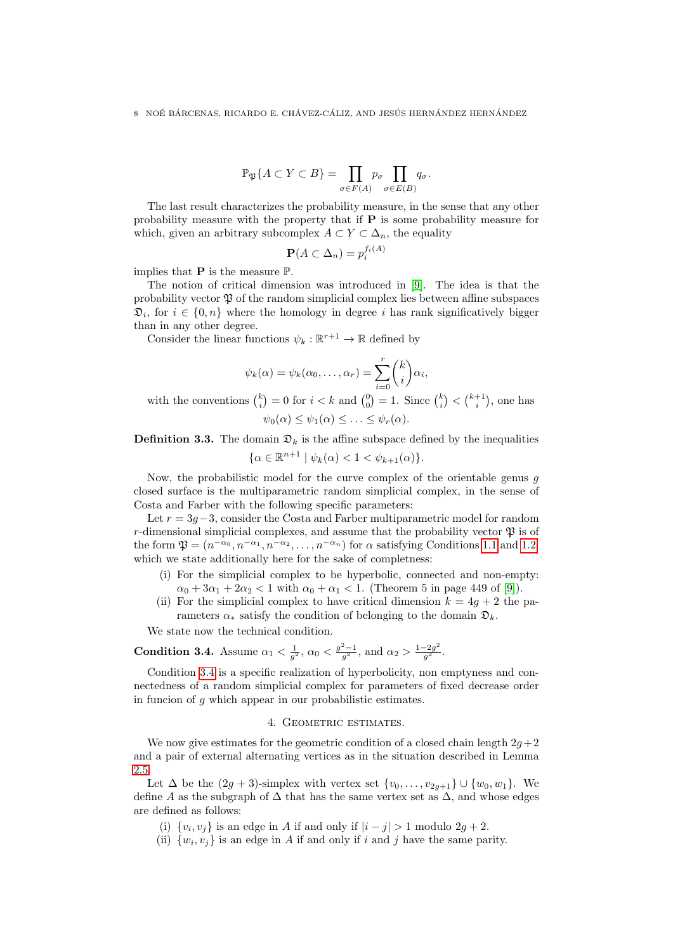$$
\mathbb{P}_{\mathfrak{P}}\{A \subset Y \subset B\} = \prod_{\sigma \in F(A)} p_{\sigma} \prod_{\sigma \in E(B)} q_{\sigma}.
$$

The last result characterizes the probability measure, in the sense that any other probability measure with the property that if  $P$  is some probability measure for which, given an arbitrary subcomplex  $A \subset Y \subset \Delta_n$ , the equality

$$
\mathbf{P}(A \subset \Delta_n) = p_i^{f_i(A)}
$$

implies that **P** is the measure  $\mathbb{P}$ .

The notion of critical dimension was introduced in [\[9\]](#page-11-5). The idea is that the probability vector  $\mathfrak P$  of the random simplicial complex lies between affine subspaces  $\mathfrak{D}_i$ , for  $i \in \{0, n\}$  where the homology in degree i has rank significatively bigger than in any other degree.

Consider the linear functions  $\psi_k : \mathbb{R}^{r+1} \to \mathbb{R}$  defined by

$$
\psi_k(\alpha) = \psi_k(\alpha_0, \dots, \alpha_r) = \sum_{i=0}^r {k \choose i} \alpha_i,
$$

with the conventions  $\binom{k}{i} = 0$  for  $i < k$  and  $\binom{0}{0} = 1$ . Since  $\binom{k}{i} < \binom{k+1}{i}$ , one has  $\psi_0(\alpha) \leq \psi_1(\alpha) \leq \ldots \leq \psi_r(\alpha).$ 

# **Definition 3.3.** The domain  $\mathcal{D}_k$  is the affine subspace defined by the inequalities  $\{\alpha \in \mathbb{R}^{n+1} \mid \psi_k(\alpha) < 1 < \psi_{k+1}(\alpha)\}.$

Now, the probabilistic model for the curve complex of the orientable genus  $q$ closed surface is the multiparametric random simplicial complex, in the sense of Costa and Farber with the following specific parameters:

Let  $r = 3g-3$ , consider the Costa and Farber multiparametric model for random r-dimensional simplicial complexes, and assume that the probability vector  $\mathfrak{P}$  is of the form  $\mathfrak{P} = (n^{-\alpha_0}, n^{-\alpha_1}, n^{-\alpha_2}, \dots, n^{-\alpha_n})$  for  $\alpha$  satisfying Conditions [1.1](#page-1-0) and [1.2,](#page-1-1) which we state additionally here for the sake of completness:

- (i) For the simplicial complex to be hyperbolic, connected and non-empty:  $\alpha_0 + 3\alpha_1 + 2\alpha_2 < 1$  with  $\alpha_0 + \alpha_1 < 1$ . (Theorem 5 in page 449 of [\[9\]](#page-11-5)).
- (ii) For the simplicial complex to have critical dimension  $k = 4g + 2$  the parameters  $\alpha_*$  satisfy the condition of belonging to the domain  $\mathfrak{D}_k$ .

We state now the technical condition.

<span id="page-7-1"></span>**Condition 3.4.** Assume  $\alpha_1 < \frac{1}{g^2}$ ,  $\alpha_0 < \frac{g^2-1}{g^2}$ , and  $\alpha_2 > \frac{1-2g^2}{g^2}$  $\frac{-2g^-}{g^2}$  .

Condition [3.4](#page-7-1) is a specific realization of hyperbolicity, non emptyness and connectedness of a random simplicial complex for parameters of fixed decrease order in funcion of  $q$  which appear in our probabilistic estimates.

## 4. Geometric estimates.

<span id="page-7-0"></span>We now give estimates for the geometric condition of a closed chain length  $2g+2$ and a pair of external alternating vertices as in the situation described in Lemma [2.5.](#page-4-1)

Let  $\Delta$  be the  $(2g + 3)$ -simplex with vertex set  $\{v_0, \ldots, v_{2g+1}\} \cup \{w_0, w_1\}$ . We define A as the subgraph of  $\Delta$  that has the same vertex set as  $\Delta$ , and whose edges are defined as follows:

- (i)  $\{v_i, v_j\}$  is an edge in A if and only if  $|i j| > 1$  modulo  $2g + 2$ .
- (ii)  $\{w_i, v_j\}$  is an edge in A if and only if i and j have the same parity.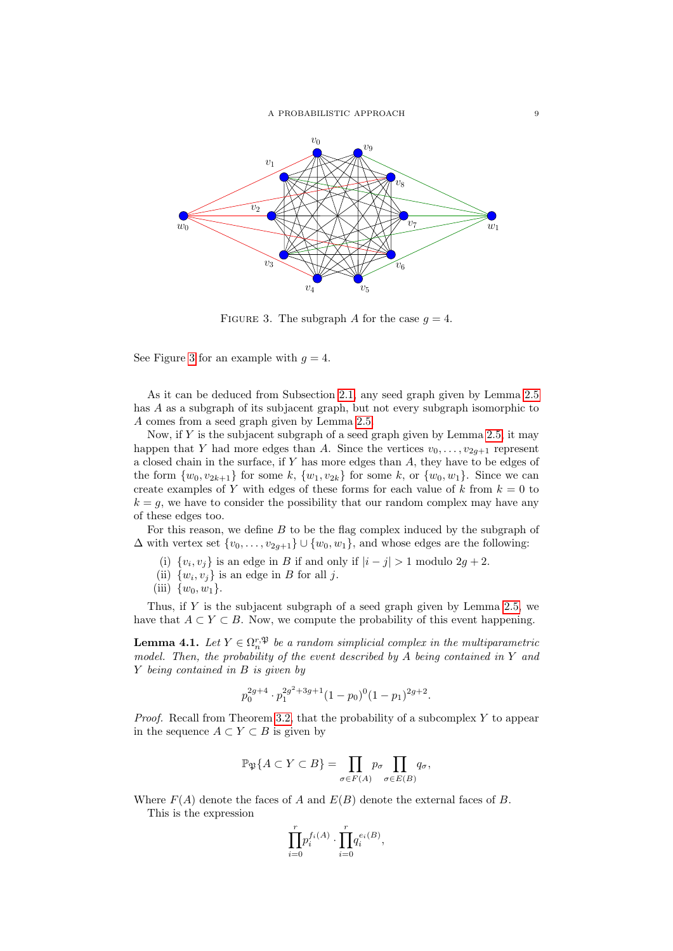

<span id="page-8-0"></span>FIGURE 3. The subgraph A for the case  $q = 4$ .

See Figure [3](#page-8-0) for an example with  $q = 4$ .

As it can be deduced from Subsection [2.1,](#page-5-0) any seed graph given by Lemma [2.5](#page-4-1) has A as a subgraph of its subjacent graph, but not every subgraph isomorphic to A comes from a seed graph given by Lemma [2.5.](#page-4-1)

Now, if  $Y$  is the subjacent subgraph of a seed graph given by Lemma [2.5,](#page-4-1) it may happen that Y had more edges than A. Since the vertices  $v_0, \ldots, v_{2q+1}$  represent a closed chain in the surface, if Y has more edges than A, they have to be edges of the form  $\{w_0, v_{2k+1}\}$  for some k,  $\{w_1, v_{2k}\}$  for some k, or  $\{w_0, w_1\}$ . Since we can create examples of Y with edges of these forms for each value of k from  $k = 0$  to  $k = g$ , we have to consider the possibility that our random complex may have any of these edges too.

For this reason, we define  $B$  to be the flag complex induced by the subgraph of  $\Delta$  with vertex set  $\{v_0, \ldots, v_{2g+1}\} \cup \{w_0, w_1\}$ , and whose edges are the following:

- (i)  $\{v_i, v_j\}$  is an edge in B if and only if  $|i j| > 1$  modulo  $2g + 2$ .
- (ii)  $\{w_i, v_j\}$  is an edge in B for all j.
- (iii)  $\{w_0, w_1\}$ .

Thus, if  $Y$  is the subjacent subgraph of a seed graph given by Lemma [2.5,](#page-4-1) we have that  $A \subset Y \subset B$ . Now, we compute the probability of this event happening.

**Lemma 4.1.** Let  $Y \in \Omega_n^{r,\mathfrak{P}}$  be a random simplicial complex in the multiparametric model. Then, the probability of the event described by  $A$  being contained in  $Y$  and Y being contained in B is given by

$$
p_0^{2g+4} \cdot p_1^{2g^2+3g+1} (1-p_0)^0 (1-p_1)^{2g+2}.
$$

*Proof.* Recall from Theorem [3.2,](#page-6-2) that the probability of a subcomplex  $Y$  to appear in the sequence  $A \subset Y \subset B$  is given by

$$
\mathbb{P}_{\mathfrak{P}}\{A \subset Y \subset B\} = \prod_{\sigma \in F(A)} p_{\sigma} \prod_{\sigma \in E(B)} q_{\sigma},
$$

Where  $F(A)$  denote the faces of A and  $E(B)$  denote the external faces of B.

This is the expression

$$
\prod_{i=0}^r p_i^{f_i(A)} \cdot \prod_{i=0}^r q_i^{e_i(B)},
$$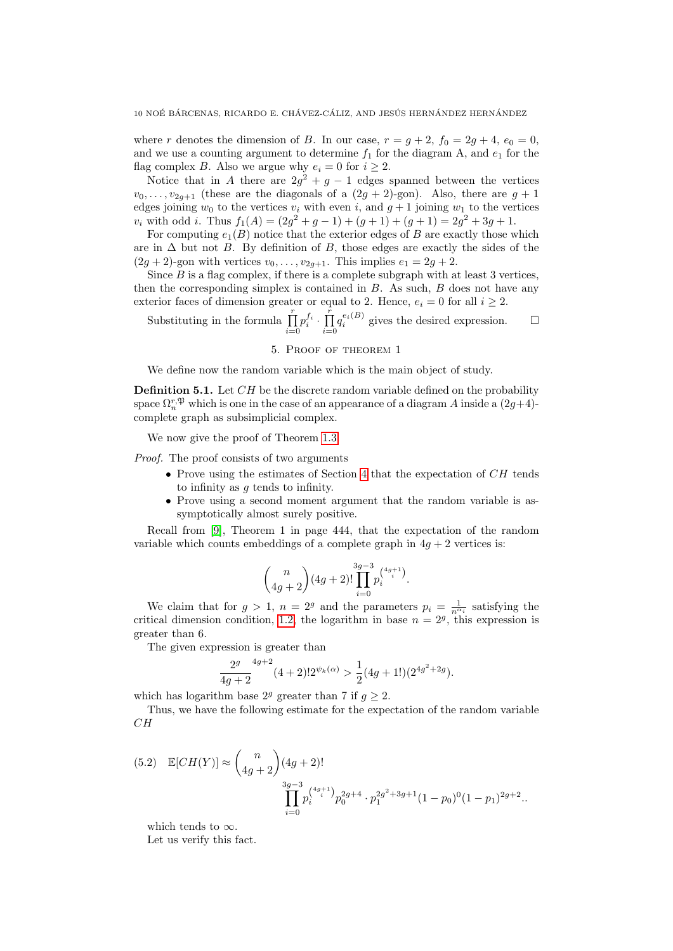where r denotes the dimension of B. In our case,  $r = g + 2$ ,  $f_0 = 2g + 4$ ,  $e_0 = 0$ , and we use a counting argument to determine  $f_1$  for the diagram A, and  $e_1$  for the flag complex B. Also we argue why  $e_i = 0$  for  $i \geq 2$ .

Notice that in A there are  $2g^2 + g - 1$  edges spanned between the vertices  $v_0, \ldots, v_{2q+1}$  (these are the diagonals of a  $(2g + 2)$ -gon). Also, there are  $g + 1$ edges joining  $w_0$  to the vertices  $v_i$  with even i, and  $g + 1$  joining  $w_1$  to the vertices  $v_i$  with odd *i*. Thus  $f_1(A) = (2g^2 + g - 1) + (g + 1) + (g + 1) = 2g^2 + 3g + 1$ .

For computing  $e_1(B)$  notice that the exterior edges of B are exactly those which are in  $\Delta$  but not B. By definition of B, those edges are exactly the sides of the  $(2g + 2)$ -gon with vertices  $v_0, \ldots, v_{2g+1}$ . This implies  $e_1 = 2g + 2$ .

Since  $B$  is a flag complex, if there is a complete subgraph with at least 3 vertices, then the corresponding simplex is contained in  $B$ . As such,  $B$  does not have any exterior faces of dimension greater or equal to 2. Hence,  $e_i = 0$  for all  $i \geq 2$ .

Substituting in the formula  $\prod_{r=1}^{r}$  $i=0$  $p_i^{f_i} \cdot \prod^{\tilde{r}}$  $i=0$  $q_i^{e_i(B)}$  gives the desired expression.  $\Box$ 

#### 5. Proof of theorem 1

We define now the random variable which is the main object of study.

**Definition 5.1.** Let  $CH$  be the discrete random variable defined on the probability space  $\Omega_n^{r,\mathfrak{P}}$  which is one in the case of an appearance of a diagram A inside a  $(2g+4)$ complete graph as subsimplicial complex.

We now give the proof of Theorem [1.3.](#page-1-2)

Proof. The proof consists of two arguments

- Prove using the estimates of Section [4](#page-7-0) that the expectation of CH tends to infinity as  $q$  tends to infinity.
- Prove using a second moment argument that the random variable is assymptotically almost surely positive.

Recall from [\[9\]](#page-11-5), Theorem 1 in page 444, that the expectation of the random variable which counts embeddings of a complete graph in  $4q + 2$  vertices is:

$$
\binom{n}{4g+2}(4g+2)!\prod_{i=0}^{3g-3}p_i^{4g+1\choose i}.
$$

We claim that for  $g > 1$ ,  $n = 2<sup>g</sup>$  and the parameters  $p_i = \frac{1}{n^{\alpha_i}}$  satisfying the critical dimension condition, [1.2,](#page-1-1) the logarithm in base  $n = 2<sup>g</sup>$ , this expression is greater than 6.

The given expression is greater than

$$
\frac{2^g}{4g+2}^{4g+2} (4+2)! 2^{\psi_k(\alpha)} > \frac{1}{2} (4g+1!)(2^{4g^2+2g}).
$$

which has logarithm base  $2^g$  greater than 7 if  $q > 2$ .

Thus, we have the following estimate for the expectation of the random variable  $CH$ 

<span id="page-9-0"></span>
$$
(5.2) \mathbb{E}[CH(Y)] \approx {n \choose 4g+2} (4g+2)!
$$
  

$$
\prod_{i=0}^{3g-3} p_i^{4g+1} p_0^{2g+4} \cdot p_1^{2g^2+3g+1} (1-p_0)^0 (1-p_1)^{2g+2}.
$$

which tends to  $\infty$ .

Let us verify this fact.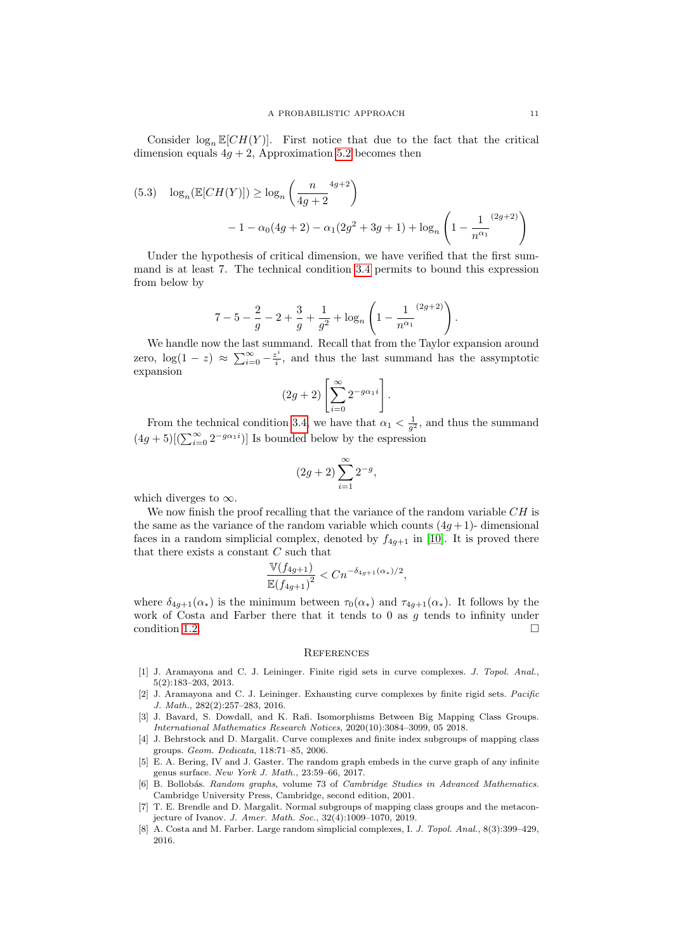Consider  $\log_n \mathbb{E}[CH(Y)]$ . First notice that due to the fact that the critical dimension equals  $4g + 2$ , Approximation [5.2](#page-9-0) becomes then

(5.3) 
$$
\log_n(\mathbb{E}[CH(Y)]) \ge \log_n\left(\frac{n}{4g+2}^{4g+2}\right)
$$

$$
-1 - \alpha_0(4g+2) - \alpha_1(2g^2+3g+1) + \log_n\left(1 - \frac{1}{n^{\alpha_1}}^{(2g+2)}\right)
$$

Under the hypothesis of critical dimension, we have verified that the first summand is at least 7. The technical condition [3.4](#page-7-1) permits to bound this expression from below by

$$
7 - 5 - \frac{2}{g} - 2 + \frac{3}{g} + \frac{1}{g^{2}} + \log_{n} \left( 1 - \frac{1}{n^{\alpha_{1}}}^{(2g+2)} \right).
$$

We handle now the last summand. Recall that from the Taylor expansion around zero,  $\log(1-z) \approx \sum_{i=0}^{\infty} -\frac{z^i}{i}$  $\frac{\partial z^*}{\partial i}$ , and thus the last summand has the assymptotic expansion

$$
(2g+2)\left[\sum_{i=0}^{\infty} 2^{-g\alpha_1 i}\right].
$$

From the technical condition [3.4,](#page-7-1) we have that  $\alpha_1 < \frac{1}{g^2}$ , and thus the summand  $(4g+5)[(\sum_{i=0}^{\infty} 2^{-g\alpha_1 i})]$  Is bounded below by the espression

$$
(2g+2)\sum_{i=1}^{\infty}2^{-g},
$$

which diverges to  $\infty$ .

We now finish the proof recalling that the variance of the random variable  $CH$  is the same as the variance of the random variable which counts  $(4g+1)$ - dimensional faces in a random simplicial complex, denoted by  $f_{4g+1}$  in [\[10\]](#page-11-6). It is proved there that there exists a constant C such that

$$
\frac{\mathbb{V}(f_{4g+1})}{\mathbb{E}(f_{4g+1})^2} < C n^{-\delta_{4g+1}(\alpha_*)/2},
$$

where  $\delta_{4g+1}(\alpha_*)$  is the minimum between  $\tau_0(\alpha_*)$  and  $\tau_{4g+1}(\alpha_*)$ . It follows by the work of Costa and Farber there that it tends to 0 as  $g$  tends to infinity under condition [1.2.](#page-1-1)

#### **REFERENCES**

- <span id="page-10-4"></span>[1] J. Aramayona and C. J. Leininger. Finite rigid sets in curve complexes. J. Topol. Anal., 5(2):183–203, 2013.
- <span id="page-10-5"></span>[2] J. Aramayona and C. J. Leininger. Exhausting curve complexes by finite rigid sets. Pacific J. Math., 282(2):257–283, 2016.
- <span id="page-10-2"></span>[3] J. Bavard, S. Dowdall, and K. Rafi. Isomorphisms Between Big Mapping Class Groups. International Mathematics Research Notices, 2020(10):3084–3099, 05 2018.
- <span id="page-10-7"></span>[4] J. Behrstock and D. Margalit. Curve complexes and finite index subgroups of mapping class groups. Geom. Dedicata, 118:71–85, 2006.
- <span id="page-10-6"></span>[5] E. A. Bering, IV and J. Gaster. The random graph embeds in the curve graph of any infinite genus surface. New York J. Math., 23:59–66, 2017.
- <span id="page-10-0"></span>[6] B. Bollobás. Random graphs, volume 73 of Cambridge Studies in Advanced Mathematics. Cambridge University Press, Cambridge, second edition, 2001.
- <span id="page-10-3"></span>[7] T. E. Brendle and D. Margalit. Normal subgroups of mapping class groups and the metaconjecture of Ivanov. J. Amer. Math. Soc., 32(4):1009–1070, 2019.
- <span id="page-10-1"></span>[8] A. Costa and M. Farber. Large random simplicial complexes, I. J. Topol. Anal., 8(3):399–429, 2016.